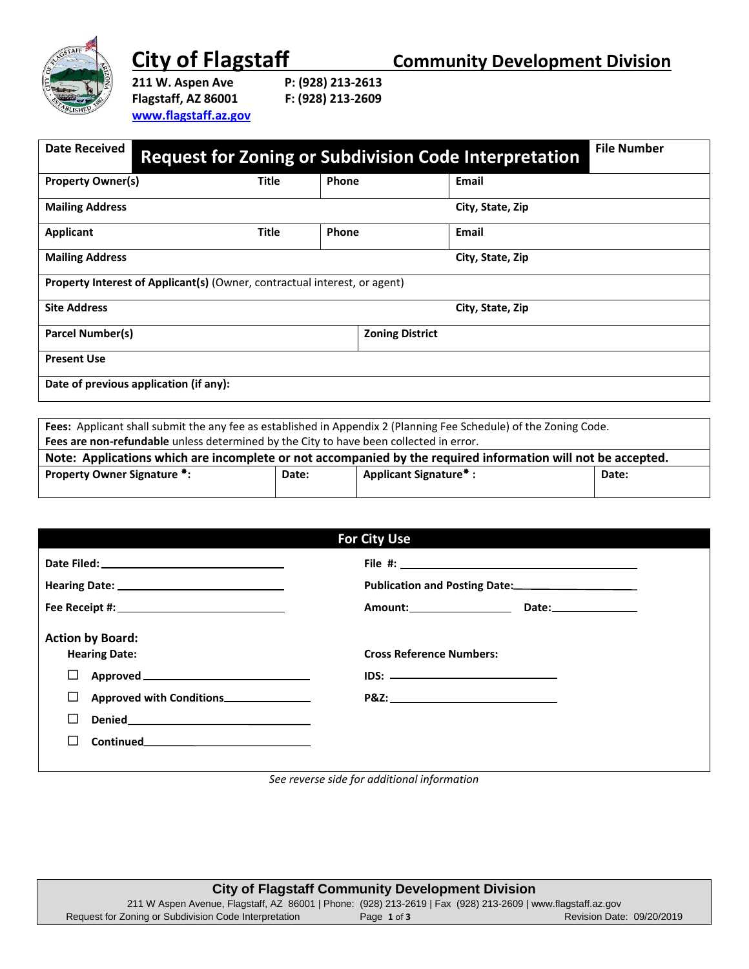

**City of Flagstaff Community Development Division**<br>211 W. Aspen Ave P: (928) 213-2613

**Flagstaff, AZ 86001 F: (928) 213-2609 [www.flagstaff.az.gov](http://www.flagstaff.az.gov/)** **211 P: (928) 213-2613<br>F: (928) 213-2609** 

| <b>Date Received</b>                                                             | <b>Request for Zoning or Subdivision Code Interpretation</b> |       |                        | <b>File Number</b> |
|----------------------------------------------------------------------------------|--------------------------------------------------------------|-------|------------------------|--------------------|
| <b>Property Owner(s)</b>                                                         | <b>Title</b>                                                 | Phone |                        | Email              |
| <b>Mailing Address</b>                                                           |                                                              |       |                        | City, State, Zip   |
| Applicant                                                                        | <b>Title</b>                                                 | Phone |                        | Email              |
| <b>Mailing Address</b>                                                           |                                                              |       |                        | City, State, Zip   |
| <b>Property Interest of Applicant(s) (Owner, contractual interest, or agent)</b> |                                                              |       |                        |                    |
| <b>Site Address</b>                                                              |                                                              |       |                        | City, State, Zip   |
| <b>Parcel Number(s)</b>                                                          |                                                              |       | <b>Zoning District</b> |                    |
| <b>Present Use</b>                                                               |                                                              |       |                        |                    |
| Date of previous application (if any):                                           |                                                              |       |                        |                    |

| Fees: Applicant shall submit the any fee as established in Appendix 2 (Planning Fee Schedule) of the Zoning Code. |       |                              |       |
|-------------------------------------------------------------------------------------------------------------------|-------|------------------------------|-------|
| Fees are non-refundable unless determined by the City to have been collected in error.                            |       |                              |       |
| Note: Applications which are incomplete or not accompanied by the required information will not be accepted.      |       |                              |       |
| <b>Property Owner Signature *:</b>                                                                                | Date: | <b>Applicant Signature*:</b> | Date: |
|                                                                                                                   |       |                              |       |

| <b>For City Use</b>                             |                                                                        |  |
|-------------------------------------------------|------------------------------------------------------------------------|--|
|                                                 |                                                                        |  |
|                                                 | Publication and Posting Date: 2008. [19] Publication and Posting Date: |  |
|                                                 | Amount: Date: Date:                                                    |  |
| <b>Action by Board:</b><br><b>Hearing Date:</b> | <b>Cross Reference Numbers:</b>                                        |  |
| $\Box$                                          |                                                                        |  |
| □<br>Approved with Conditions_______________    |                                                                        |  |
|                                                 |                                                                        |  |
|                                                 |                                                                        |  |
|                                                 |                                                                        |  |

*See reverse side for additional information*

| <b>City of Flagstaff Community Development Division</b>                                                     |             |                           |
|-------------------------------------------------------------------------------------------------------------|-------------|---------------------------|
| 211 W Aspen Avenue, Flagstaff, AZ 86001   Phone: (928) 213-2619   Fax (928) 213-2609   www.flagstaff.az.gov |             |                           |
| Request for Zoning or Subdivision Code Interpretation                                                       | Page 1 of 3 | Revision Date: 09/20/2019 |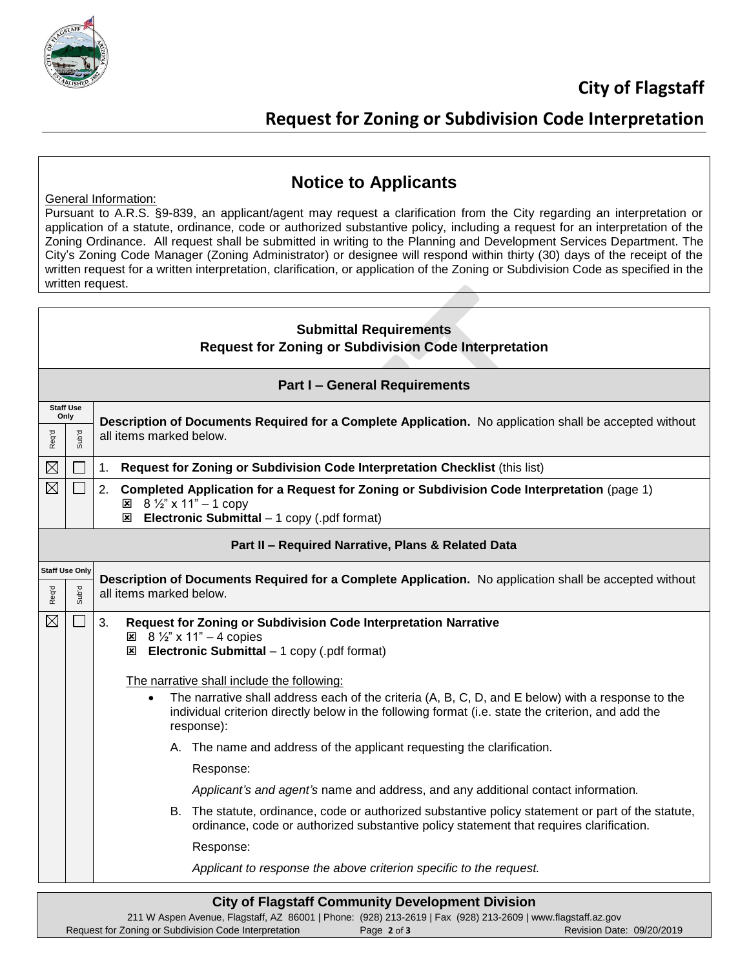

## **Request for Zoning or Subdivision Code Interpretation**

#### General Information:

### **Notice to Applicants**

Pursuant to A.R.S. §9-839, an applicant/agent may request a clarification from the City regarding an interpretation or application of a statute, ordinance, code or authorized substantive policy, including a request for an interpretation of the Zoning Ordinance. All request shall be submitted in writing to the Planning and Development Services Department. The City's Zoning Code Manager (Zoning Administrator) or designee will respond within thirty (30) days of the receipt of the written request for a written interpretation, clarification, or application of the Zoning or Subdivision Code as specified in the written request.

| <b>Submittal Requirements</b><br><b>Request for Zoning or Subdivision Code Interpretation</b> |                                                                                                                                                                     |                                                                                                                                                                                                                                    |  |  |  |
|-----------------------------------------------------------------------------------------------|---------------------------------------------------------------------------------------------------------------------------------------------------------------------|------------------------------------------------------------------------------------------------------------------------------------------------------------------------------------------------------------------------------------|--|--|--|
|                                                                                               | <b>Part I - General Requirements</b>                                                                                                                                |                                                                                                                                                                                                                                    |  |  |  |
|                                                                                               | <b>Staff Use</b><br>Only<br>Description of Documents Required for a Complete Application. No application shall be accepted without                                  |                                                                                                                                                                                                                                    |  |  |  |
| Req'd                                                                                         | <b>P.qns</b>                                                                                                                                                        | all items marked below.                                                                                                                                                                                                            |  |  |  |
| $\boxtimes$                                                                                   |                                                                                                                                                                     | Request for Zoning or Subdivision Code Interpretation Checklist (this list)<br>1.                                                                                                                                                  |  |  |  |
| $\boxtimes$                                                                                   | $\vert \ \ \vert$                                                                                                                                                   | 2.<br>Completed Application for a Request for Zoning or Subdivision Code Interpretation (page 1)<br>$\boxtimes$ 8 1/2" x 11" - 1 copy<br>$\boxtimes$ Electronic Submittal - 1 copy (.pdf format)                                   |  |  |  |
|                                                                                               | Part II - Required Narrative, Plans & Related Data                                                                                                                  |                                                                                                                                                                                                                                    |  |  |  |
| Req'd                                                                                         | <b>Staff Use Only</b><br>Description of Documents Required for a Complete Application. No application shall be accepted without<br>Sub'd<br>all items marked below. |                                                                                                                                                                                                                                    |  |  |  |
| $\boxtimes$                                                                                   | $\overline{\phantom{a}}$                                                                                                                                            | 3.<br>Request for Zoning or Subdivision Code Interpretation Narrative<br>$\boxtimes$ 8 1/2" x 11" - 4 copies<br>$\boxtimes$ Electronic Submittal - 1 copy (.pdf format)<br>The narrative shall include the following:              |  |  |  |
|                                                                                               |                                                                                                                                                                     | The narrative shall address each of the criteria (A, B, C, D, and E below) with a response to the<br>$\bullet$<br>individual criterion directly below in the following format (i.e. state the criterion, and add the<br>response): |  |  |  |
|                                                                                               |                                                                                                                                                                     | A. The name and address of the applicant requesting the clarification.                                                                                                                                                             |  |  |  |
|                                                                                               |                                                                                                                                                                     | Response:                                                                                                                                                                                                                          |  |  |  |
|                                                                                               |                                                                                                                                                                     | Applicant's and agent's name and address, and any additional contact information.                                                                                                                                                  |  |  |  |
|                                                                                               |                                                                                                                                                                     | B. The statute, ordinance, code or authorized substantive policy statement or part of the statute,<br>ordinance, code or authorized substantive policy statement that requires clarification.                                      |  |  |  |
|                                                                                               |                                                                                                                                                                     | Response:                                                                                                                                                                                                                          |  |  |  |
|                                                                                               |                                                                                                                                                                     | Applicant to response the above criterion specific to the request.                                                                                                                                                                 |  |  |  |
|                                                                                               |                                                                                                                                                                     | <b>City of Flagstaff Community Development Division</b>                                                                                                                                                                            |  |  |  |